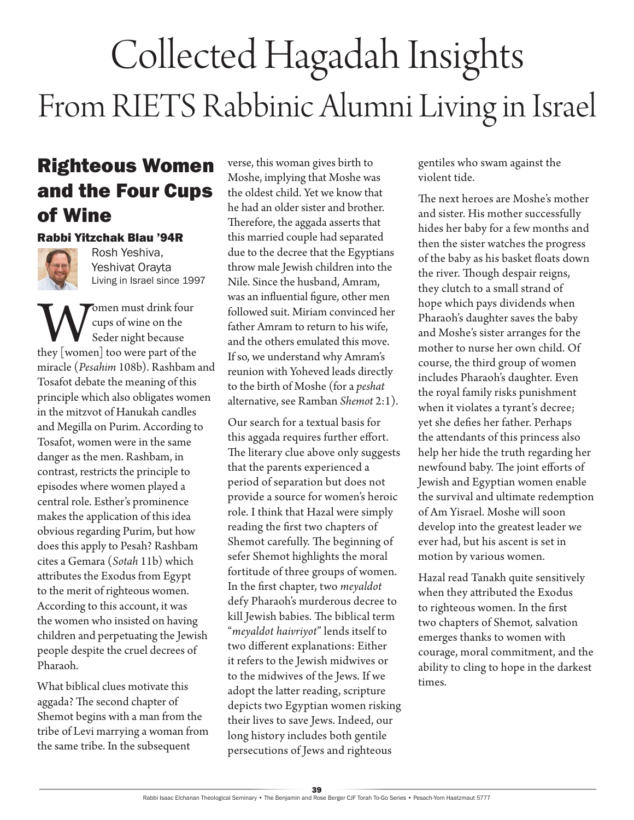# Collected Hagadah Insights From RIETS Rabbinic Alumni Living in Israel

### Righteous Women and the Four Cups of Wine

#### Rabbi Yitzchak Blau '94R



Rosh Yeshiva, Yeshivat Orayta Living in Israel since 1997

Women must drink four<br>
Seder night because<br>
they [women] too were part of the cups of wine on the Seder night because miracle (*Pesahim* 108b). Rashbam and Tosafot debate the meaning of this principle which also obligates women in the mitzvot of Hanukah candles and Megilla on Purim. According to Tosafot, women were in the same danger as the men. Rashbam, in contrast, restricts the principle to episodes where women played a central role. Esther's prominence makes the application of this idea obvious regarding Purim, but how does this apply to Pesah? Rashbam cites a Gemara (*Sotah* 11b) which attributes the Exodus from Egypt to the merit of righteous women. According to this account, it was the women who insisted on having children and perpetuating the Jewish people despite the cruel decrees of Pharaoh.

What biblical clues motivate this aggada? The second chapter of Shemot begins with a man from the tribe of Levi marrying a woman from the same tribe. In the subsequent

verse, this woman gives birth to Moshe, implying that Moshe was the oldest child. Yet we know that he had an older sister and brother. Therefore, the aggada asserts that this married couple had separated due to the decree that the Egyptians throw male Jewish children into the Nile. Since the husband, Amram, was an influential figure, other men followed suit. Miriam convinced her father Amram to return to his wife, and the others emulated this move. If so, we understand why Amram's reunion with Yoheved leads directly to the birth of Moshe (for a *peshat* alternative, see Ramban *Shemot* 2:1).

Our search for a textual basis for this aggada requires further effort. The literary clue above only suggests that the parents experienced a period of separation but does not provide a source for women's heroic role. I think that Hazal were simply reading the first two chapters of Shemot carefully. The beginning of sefer Shemot highlights the moral fortitude of three groups of women. In the first chapter, two *meyaldot* defy Pharaoh's murderous decree to kill Jewish babies. The biblical term "*meyaldot haivriyot*" lends itself to two different explanations: Either it refers to the Jewish midwives or to the midwives of the Jews. If we adopt the latter reading, scripture depicts two Egyptian women risking their lives to save Jews. Indeed, our long history includes both gentile persecutions of Jews and righteous

gentiles who swam against the violent tide.

The next heroes are Moshe's mother and sister. His mother successfully hides her baby for a few months and then the sister watches the progress of the baby as his basket floats down the river. Though despair reigns, they clutch to a small strand of hope which pays dividends when Pharaoh's daughter saves the baby and Moshe's sister arranges for the mother to nurse her own child. Of course, the third group of women includes Pharaoh's daughter. Even the royal family risks punishment when it violates a tyrant's decree; yet she defies her father. Perhaps the attendants of this princess also help her hide the truth regarding her newfound baby. The joint efforts of Jewish and Egyptian women enable the survival and ultimate redemption of Am Yisrael. Moshe will soon develop into the greatest leader we ever had, but his ascent is set in motion by various women.

Hazal read Tanakh quite sensitively when they attributed the Exodus to righteous women. In the first two chapters of Shemot*,* salvation emerges thanks to women with courage, moral commitment, and the ability to cling to hope in the darkest times.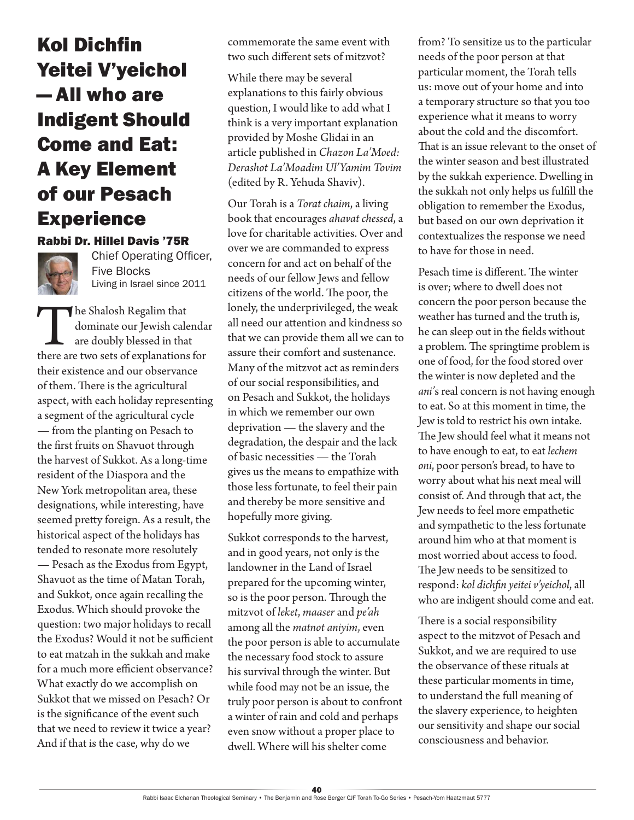### Kol Dichfin Yeitei V'yeichol — All who are Indigent Should Come and Eat: A Key Element of our Pesach Experience

#### Rabbi Dr. Hillel Davis '75R



Chief Operating Officer, Five Blocks Living in Israel since 2011

The Shalosh Regalim that dominate our Jewish calendar are doubly blessed in that there are two sets of explanations for their existence and our observance of them. There is the agricultural aspect, with each holiday representing a segment of the agricultural cycle — from the planting on Pesach to the first fruits on Shavuot through the harvest of Sukkot. As a long-time resident of the Diaspora and the New York metropolitan area, these designations, while interesting, have seemed pretty foreign. As a result, the historical aspect of the holidays has tended to resonate more resolutely — Pesach as the Exodus from Egypt, Shavuot as the time of Matan Torah, and Sukkot, once again recalling the Exodus. Which should provoke the question: two major holidays to recall the Exodus? Would it not be sufficient to eat matzah in the sukkah and make for a much more efficient observance? What exactly do we accomplish on Sukkot that we missed on Pesach? Or is the significance of the event such that we need to review it twice a year? And if that is the case, why do we

commemorate the same event with two such different sets of mitzvot?

While there may be several explanations to this fairly obvious question, I would like to add what I think is a very important explanation provided by Moshe Glidai in an article published in *Chazon La'Moed: Derashot La'Moadim Ul'Yamim Tovim* (edited by R. Yehuda Shaviv).

Our Torah is a *Torat chaim*, a living book that encourages *ahavat chessed*, a love for charitable activities. Over and over we are commanded to express concern for and act on behalf of the needs of our fellow Jews and fellow citizens of the world. The poor, the lonely, the underprivileged, the weak all need our attention and kindness so that we can provide them all we can to assure their comfort and sustenance. Many of the mitzvot act as reminders of our social responsibilities, and on Pesach and Sukkot, the holidays in which we remember our own deprivation — the slavery and the degradation, the despair and the lack of basic necessities — the Torah gives us the means to empathize with those less fortunate, to feel their pain and thereby be more sensitive and hopefully more giving.

Sukkot corresponds to the harvest, and in good years, not only is the landowner in the Land of Israel prepared for the upcoming winter, so is the poor person. Through the mitzvot of *leket*, *maaser* and *pe'ah* among all the *matnot aniyim*, even the poor person is able to accumulate the necessary food stock to assure his survival through the winter. But while food may not be an issue, the truly poor person is about to confront a winter of rain and cold and perhaps even snow without a proper place to dwell. Where will his shelter come

from? To sensitize us to the particular needs of the poor person at that particular moment, the Torah tells us: move out of your home and into a temporary structure so that you too experience what it means to worry about the cold and the discomfort. That is an issue relevant to the onset of the winter season and best illustrated by the sukkah experience. Dwelling in the sukkah not only helps us fulfill the obligation to remember the Exodus, but based on our own deprivation it contextualizes the response we need to have for those in need.

Pesach time is different. The winter is over; where to dwell does not concern the poor person because the weather has turned and the truth is, he can sleep out in the fields without a problem. The springtime problem is one of food, for the food stored over the winter is now depleted and the *ani'*s real concern is not having enough to eat. So at this moment in time, the Jew is told to restrict his own intake. The Jew should feel what it means not to have enough to eat, to eat *lechem oni*, poor person's bread, to have to worry about what his next meal will consist of. And through that act, the Jew needs to feel more empathetic and sympathetic to the less fortunate around him who at that moment is most worried about access to food. The Jew needs to be sensitized to respond: *kol dichfin yeitei v'yeichol*, all who are indigent should come and eat.

There is a social responsibility aspect to the mitzvot of Pesach and Sukkot, and we are required to use the observance of these rituals at these particular moments in time, to understand the full meaning of the slavery experience, to heighten our sensitivity and shape our social consciousness and behavior.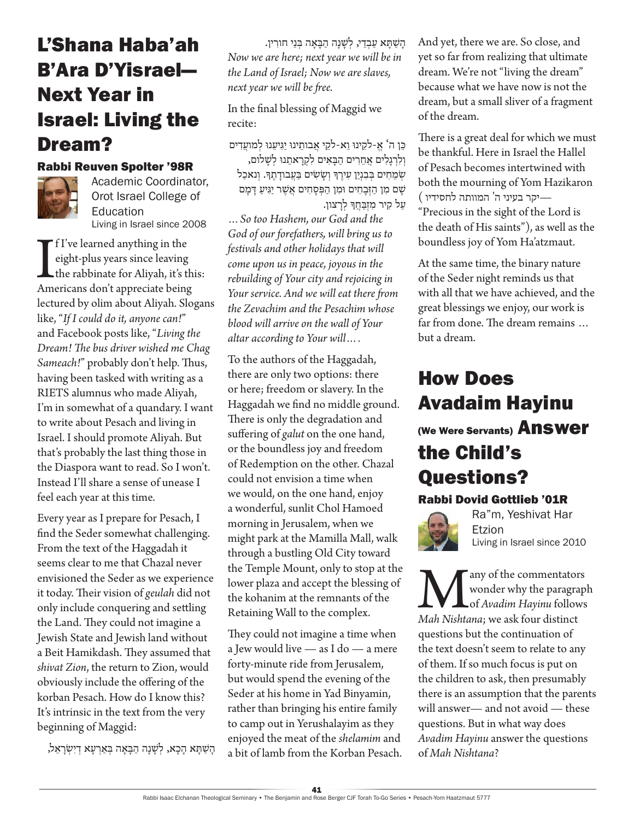### L'Shana Haba'ah B'Ara D'Yisrael— Next Year in Israel: Living the Dream?

#### Rabbi Reuven Spolter '98R



Academic Coordinator, Orot Israel College of Education Living in Israel since 2008

If I've learned anything in the<br>
eight-plus years since leaving<br>
the rabbinate for Aliyah, it's th<br>
Americans don't appreciate being f I've learned anything in the eight-plus years since leaving the rabbinate for Aliyah, it's this: lectured by olim about Aliyah. Slogans like, "*If I could do it, anyone can!*" and Facebook posts like, "*Living the Dream! The bus driver wished me Chag Sameach!*" probably don't help. Thus, having been tasked with writing as a RIETS alumnus who made Aliyah, I'm in somewhat of a quandary. I want to write about Pesach and living in Israel. I should promote Aliyah. But that's probably the last thing those in the Diaspora want to read. So I won't. Instead I'll share a sense of unease I feel each year at this time.

Every year as I prepare for Pesach, I find the Seder somewhat challenging. From the text of the Haggadah it seems clear to me that Chazal never envisioned the Seder as we experience it today. Their vision of *geulah* did not only include conquering and settling the Land. They could not imagine a Jewish State and Jewish land without a Beit Hamikdash. They assumed that *shivat Zion*, the return to Zion, would obviously include the offering of the korban Pesach. How do I know this? It's intrinsic in the text from the very beginning of Maggid:

הַשַׁתַּא הַכָא, לְשַׁנַה הַבַּאַה בִּאַרְעַא דִיְשְׂרָאֵל,

הָשַׁתָּא עַבְדֵי, לְשָׁנָה הַבָּאָה בְּנֵי חורִין. *Now we are here; next year we will be in the Land of Israel; Now we are slaves, next year we will be free.*

In the final blessing of Maggid we recite:

ּכֵּן ה' א-לקינוּ וֹא-לקי אָבותִינוּ יגִיענוּ למועדים וְלִרְגַלִים אֲחֶרִים הַבָּאִים לִקְרַאתֵנוּ לְשָׁלום, ֿשְׁמֵחִים בְּבִנְיַן עִירֶךְ וְשָׂשִׂים בַּעֲבודָתֶךְ. וְנאכַל שִׁם מִן הַזְּבַחִים וּמֵן הַפִּסַחִים אֲשֶׁר יַּגִּיעַ דַּמַם עַל קִיר מִזְבַּחֲדְּ לְרָצון.

*…So too Hashem, our God and the God of our forefathers, will bring us to festivals and other holidays that will come upon us in peace, joyous in the rebuilding of Your city and rejoicing in Your service. And we will eat there from the Zevachim and the Pesachim whose blood will arrive on the wall of Your altar according to Your will….*

To the authors of the Haggadah, there are only two options: there or here; freedom or slavery. In the Haggadah we find no middle ground. There is only the degradation and suffering of *galut* on the one hand, or the boundless joy and freedom of Redemption on the other. Chazal could not envision a time when we would, on the one hand, enjoy a wonderful, sunlit Chol Hamoed morning in Jerusalem, when we might park at the Mamilla Mall, walk through a bustling Old City toward the Temple Mount, only to stop at the lower plaza and accept the blessing of the kohanim at the remnants of the Retaining Wall to the complex.

They could not imagine a time when a Jew would live — as I do — a mere forty-minute ride from Jerusalem, but would spend the evening of the Seder at his home in Yad Binyamin, rather than bringing his entire family to camp out in Yerushalayim as they enjoyed the meat of the *shelamim* and a bit of lamb from the Korban Pesach. And yet, there we are. So close, and yet so far from realizing that ultimate dream. We're not "living the dream" because what we have now is not the dream, but a small sliver of a fragment of the dream.

There is a great deal for which we must be thankful. Here in Israel the Hallel of Pesach becomes intertwined with both the mourning of Yom Hazikaron —יקר בעיני ה' המוותה לחסידיו ) "Precious in the sight of the Lord is the death of His saints"), as well as the boundless joy of Yom Ha'atzmaut.

At the same time, the binary nature of the Seder night reminds us that with all that we have achieved, and the great blessings we enjoy, our work is far from done. The dream remains … but a dream.

### How Does Avadaim Hayinu (We Were Servants) Answer

## the Child's Questions?

### Rabbi Dovid Gottlieb '01R



Ra"m, Yeshivat Har Etzion Living in Israel since 2010

Many of the commentators<br>wonder why the paragrap<br>Mah Nishtana; we ask four distinct wonder why the paragraph of *Avadim Hayinu* follows *Mah Nishtana*; we ask four distinct questions but the continuation of the text doesn't seem to relate to any of them. If so much focus is put on the children to ask, then presumably there is an assumption that the parents will answer— and not avoid — these questions. But in what way does *Avadim Hayinu* answer the questions of *Mah Nishtana*?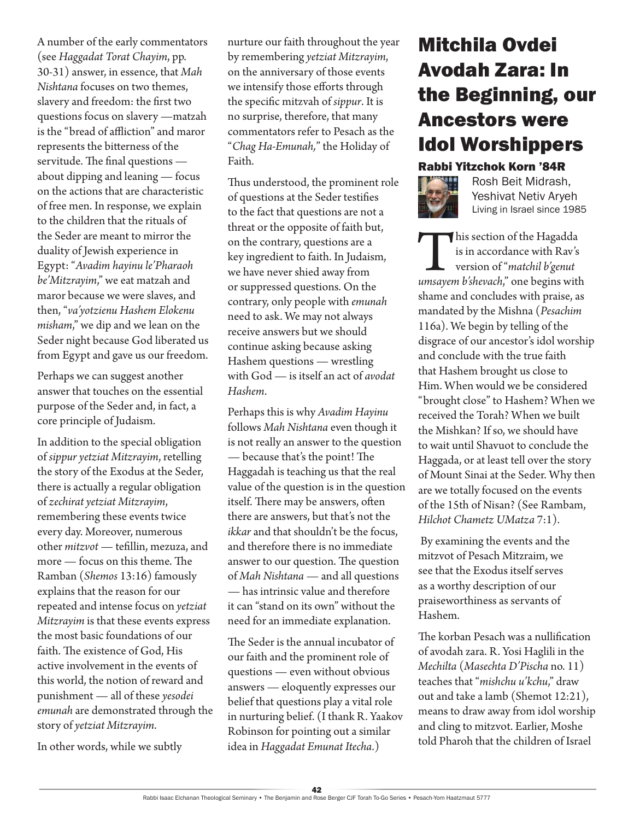A number of the early commentators (see *Haggadat Torat Chayim*, pp. 30-31) answer, in essence, that *Mah Nishtana* focuses on two themes, slavery and freedom: the first two questions focus on slavery —matzah is the "bread of affliction" and maror represents the bitterness of the servitude. The final questions about dipping and leaning — focus on the actions that are characteristic of free men. In response, we explain to the children that the rituals of the Seder are meant to mirror the duality of Jewish experience in Egypt: "*Avadim hayinu le'Pharaoh be'Mitzrayim*," we eat matzah and maror because we were slaves, and then, "*va'yotzienu Hashem Elokenu misham*," we dip and we lean on the Seder night because God liberated us from Egypt and gave us our freedom.

Perhaps we can suggest another answer that touches on the essential purpose of the Seder and, in fact, a core principle of Judaism.

In addition to the special obligation of *sippur yetziat Mitzrayim*, retelling the story of the Exodus at the Seder, there is actually a regular obligation of zechirat yetziat Mitzrayim, remembering these events twice every day. Moreover, numerous other *mitzvot* — tefillin, mezuza, and more — focus on this theme. The Ramban (*Shemos* 13:16) famously explains that the reason for our repeated and intense focus on *yetziat Mitzrayim* is that these events express the most basic foundations of our faith. The existence of God, His active involvement in the events of this world, the notion of reward and punishment — all of these *yesodei emunah* are demonstrated through the story of *yetziat Mitzrayim*.

In other words, while we subtly

nurture our faith throughout the year by remembering *yetziat Mitzrayim*, on the anniversary of those events we intensify those efforts through the specific mitzvah of *sippur*. It is no surprise, therefore, that many commentators refer to Pesach as the "*Chag Ha-Emunah,*" the Holiday of Faith.

Thus understood, the prominent role of questions at the Seder testifies to the fact that questions are not a threat or the opposite of faith but, on the contrary, questions are a key ingredient to faith. In Judaism, we have never shied away from or suppressed questions. On the contrary, only people with *emunah* need to ask. We may not always receive answers but we should continue asking because asking Hashem questions — wrestling with God — is itself an act of *avodat Hashem*.

Perhaps this is why *Avadim Hayinu* follows *Mah Nishtana* even though it is not really an answer to the question — because that's the point! The Haggadah is teaching us that the real value of the question is in the question itself. There may be answers, often there are answers, but that's not the *ikkar* and that shouldn't be the focus, and therefore there is no immediate answer to our question. The question of *Mah Nishtana* — and all questions — has intrinsic value and therefore it can "stand on its own" without the need for an immediate explanation.

The Seder is the annual incubator of our faith and the prominent role of questions — even without obvious answers — eloquently expresses our belief that questions play a vital role in nurturing belief. (I thank R. Yaakov Robinson for pointing out a similar idea in *Haggadat Emunat Itecha*.)

### Mitchila Ovdei Avodah Zara: In the Beginning, our Ancestors were Idol Worshippers Rabbi Yitzchok Korn '84R



Rosh Beit Midrash, Yeshivat Netiv Aryeh Living in Israel since 1985

This section of the Hagadda<br>is in accordance with Rav's<br>version of "*matchil b'genut*<br>*umsayem b'shevach*," one begins with is in accordance with Rav's version of "*matchil b'genut umsayem b'shevach*," one begins with shame and concludes with praise, as mandated by the Mishna (*Pesachim* 116a). We begin by telling of the disgrace of our ancestor's idol worship and conclude with the true faith that Hashem brought us close to Him. When would we be considered "brought close" to Hashem? When we received the Torah? When we built the Mishkan? If so, we should have to wait until Shavuot to conclude the Haggada, or at least tell over the story of Mount Sinai at the Seder. Why then are we totally focused on the events of the 15th of Nisan? (See Rambam, *Hilchot Chametz UMatza* 7:1).

 By examining the events and the mitzvot of Pesach Mitzraim, we see that the Exodus itself serves as a worthy description of our praiseworthiness as servants of Hashem.

The korban Pesach was a nullification of avodah zara. R. Yosi Haglili in the *Mechilta* (*Masechta D'Pischa* no. 11) teaches that "*mishchu u'kchu*," draw out and take a lamb (Shemot 12:21), means to draw away from idol worship and cling to mitzvot. Earlier, Moshe told Pharoh that the children of Israel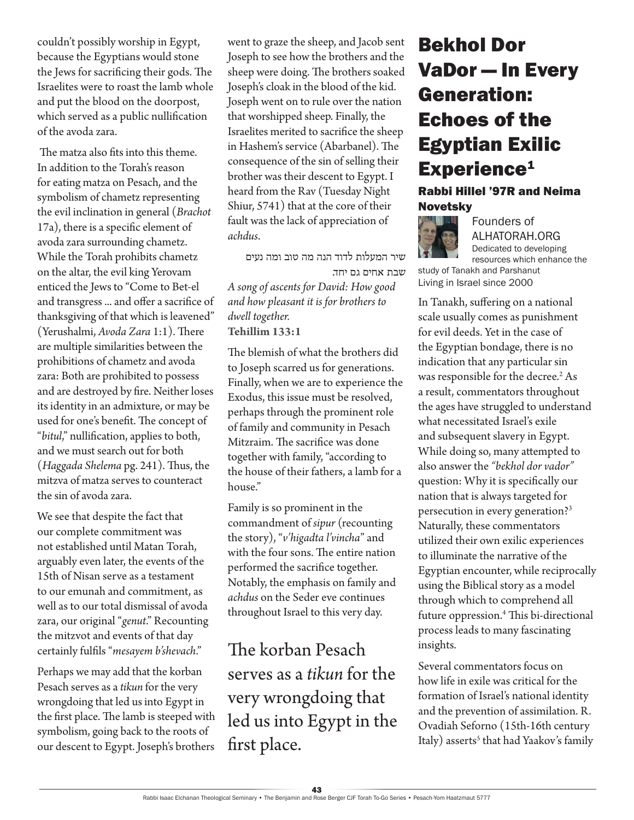couldn't possibly worship in Egypt, because the Egyptians would stone the Jews for sacrificing their gods. The Israelites were to roast the lamb whole and put the blood on the doorpost, which served as a public nullification of the avoda zara.

 The matza also fits into this theme. In addition to the Torah's reason for eating matza on Pesach, and the symbolism of chametz representing the evil inclination in general (*Brachot* 17a), there is a specific element of avoda zara surrounding chametz. While the Torah prohibits chametz on the altar, the evil king Yerovam enticed the Jews to "Come to Bet-el and transgress ... and offer a sacrifice of thanksgiving of that which is leavened" (Yerushalmi, *Avoda Zara* 1:1). There are multiple similarities between the prohibitions of chametz and avoda zara: Both are prohibited to possess and are destroyed by fire. Neither loses its identity in an admixture, or may be used for one's benefit. The concept of "*bitul*," nullification, applies to both, and we must search out for both (*Haggada Shelema* pg. 241). Thus, the mitzva of matza serves to counteract the sin of avoda zara.

We see that despite the fact that our complete commitment was not established until Matan Torah, arguably even later, the events of the 15th of Nisan serve as a testament to our emunah and commitment, as well as to our total dismissal of avoda zara, our original "*genut*." Recounting the mitzvot and events of that day certainly fulfils "*mesayem b'shevach*."

Perhaps we may add that the korban Pesach serves as a *tikun* for the very wrongdoing that led us into Egypt in the first place. The lamb is steeped with symbolism, going back to the roots of our descent to Egypt. Joseph's brothers went to graze the sheep, and Jacob sent Joseph to see how the brothers and the sheep were doing. The brothers soaked Joseph's cloak in the blood of the kid. Joseph went on to rule over the nation that worshipped sheep. Finally, the Israelites merited to sacrifice the sheep in Hashem's service (Abarbanel). The consequence of the sin of selling their brother was their descent to Egypt. I heard from the Rav (Tuesday Night Shiur, 5741) that at the core of their fault was the lack of appreciation of *achdus*.

שיר המעלות לדוד הנה מה טוב ומה נעים שבת אחים גם יחד. *A song of ascents for David: How good and how pleasant it is for brothers to dwell together.* **Tehillim 133:1**

The blemish of what the brothers did to Joseph scarred us for generations. Finally, when we are to experience the Exodus, this issue must be resolved, perhaps through the prominent role of family and community in Pesach Mitzraim. The sacrifice was done together with family, "according to the house of their fathers, a lamb for a house."

Family is so prominent in the commandment of *sipur* (recounting the story), "*v'higadta l'vincha*" and with the four sons. The entire nation performed the sacrifice together. Notably, the emphasis on family and *achdus* on the Seder eve continues throughout Israel to this very day.

The korban Pesach serves as a *tikun* for the very wrongdoing that led us into Egypt in the first place.

### Bekhol Dor VaDor — In Every Generation: Echoes of the Egyptian Exilic Experience<sup>1</sup>

#### Rabbi Hillel '97R and Neima Novetsky



Founders of ALHATORAH.ORG Dedicated to developing resources which enhance the

study of Tanakh and Parshanut Living in Israel since 2000

In Tanakh, suffering on a national scale usually comes as punishment for evil deeds. Yet in the case of the Egyptian bondage, there is no indication that any particular sin was responsible for the decree.<sup>2</sup> As a result, commentators throughout the ages have struggled to understand what necessitated Israel's exile and subsequent slavery in Egypt. While doing so, many attempted to also answer the *"bekhol dor vador"* question: Why it is specifically our nation that is always targeted for persecution in every generation?3 Naturally, these commentators utilized their own exilic experiences to illuminate the narrative of the Egyptian encounter, while reciprocally using the Biblical story as a model through which to comprehend all future oppression.4 This bi-directional process leads to many fascinating insights.

Several commentators focus on how life in exile was critical for the formation of Israel's national identity and the prevention of assimilation. R. Ovadiah Seforno (15th-16th century Italy) asserts<sup>s</sup> that had Yaakov's family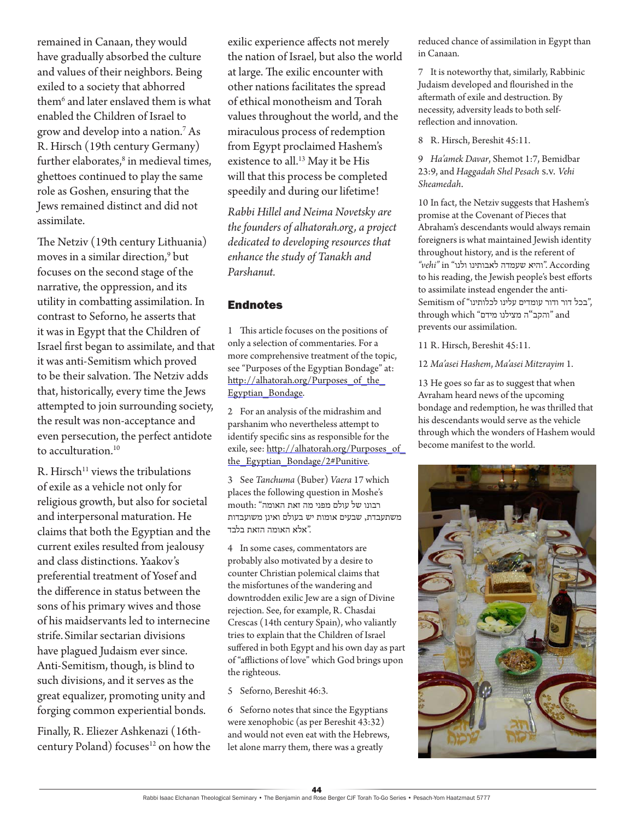remained in Canaan, they would have gradually absorbed the culture and values of their neighbors. Being exiled to a society that abhorred them<sup>6</sup> and later enslaved them is what enabled the Children of Israel to grow and develop into a nation.<sup>7</sup> As R. Hirsch (19th century Germany) further elaborates, $^8$  in medieval times, ghettoes continued to play the same role as Goshen, ensuring that the Jews remained distinct and did not assimilate.

The Netziv (19th century Lithuania) moves in a similar direction,<sup>9</sup> but focuses on the second stage of the narrative, the oppression, and its utility in combatting assimilation. In contrast to Seforno, he asserts that it was in Egypt that the Children of Israel first began to assimilate, and that it was anti-Semitism which proved to be their salvation. The Netziv adds that, historically, every time the Jews attempted to join surrounding society, the result was non-acceptance and even persecution, the perfect antidote to acculturation.<sup>10</sup>

 $R$ . Hirsch<sup>11</sup> views the tribulations of exile as a vehicle not only for religious growth, but also for societal and interpersonal maturation. He claims that both the Egyptian and the current exiles resulted from jealousy and class distinctions. Yaakov's preferential treatment of Yosef and the difference in status between the sons of his primary wives and those of his maidservants led to internecine strife.Similar sectarian divisions have plagued Judaism ever since. Anti-Semitism, though, is blind to such divisions, and it serves as the great equalizer, promoting unity and forging common experiential bonds.

Finally, R. Eliezer Ashkenazi (16thcentury Poland) focuses<sup>12</sup> on how the

exilic experience affects not merely the nation of Israel, but also the world at large. The exilic encounter with other nations facilitates the spread of ethical monotheism and Torah values throughout the world, and the miraculous process of redemption from Egypt proclaimed Hashem's existence to all.<sup>13</sup> May it be His will that this process be completed speedily and during our lifetime!

*Rabbi Hillel and Neima Novetsky are the founders of alhatorah.org, a project dedicated to developing resources that enhance the study of Tanakh and Parshanut.*

#### **Endnotes**

1 This article focuses on the positions of only a selection of commentaries. For a more comprehensive treatment of the topic, see "Purposes of the Egyptian Bondage" at: http://alhatorah.org/Purposes\_of\_the\_ Egyptian\_Bondage.

2 For an analysis of the midrashim and parshanim who nevertheless attempt to identify specific sins as responsible for the exile, see: http://alhatorah.org/Purposes\_of\_ the\_Egyptian\_Bondage/2#Punitive.

3 See *Tanchuma* (Buber) *Vaera* 17 which places the following question in Moshe's רבונו של עולם מפני מה זאת האומה" :mouth משתעבדת, שבעים אומות יש בעולם ואינן משועבדות .<br>אלא האומה הזאת בלבד**"**.

4 In some cases, commentators are probably also motivated by a desire to counter Christian polemical claims that the misfortunes of the wandering and downtrodden exilic Jew are a sign of Divine rejection. See, for example, R. Chasdai Crescas (14th century Spain), who valiantly tries to explain that the Children of Israel suffered in both Egypt and his own day as part of "afflictions of love" which God brings upon the righteous.

5 Seforno, Bereshit 46:3.

6 Seforno notes that since the Egyptians were xenophobic (as per Bereshit 43:32) and would not even eat with the Hebrews, let alone marry them, there was a greatly

reduced chance of assimilation in Egypt than in Canaan.

7 It is noteworthy that, similarly, Rabbinic Judaism developed and flourished in the aftermath of exile and destruction. By necessity, adversity leads to both selfreflection and innovation.

8 R. Hirsch, Bereshit 45:11.

9 *Ha'amek Davar*, Shemot 1:7, Bemidbar 23:9, and *Haggadah Shel Pesach* s.v. *Vehi Sheamedah*.

10 In fact, the Netziv suggests that Hashem's promise at the Covenant of Pieces that Abraham's descendants would always remain foreigners is what maintained Jewish identity throughout history, and is the referent of According ."והיא שעמדה לאבותינו ולנו" in*" vehi"* to his reading, the Jewish people's best efforts to assimilate instead engender the anti-Semitism of "הבכל דור ודור עומדים עלינו לכלותינו", through which "והקב"ה מצילנו מידם" and prevents our assimilation.

11 R. Hirsch, Bereshit 45:11.

12 *Ma'asei Hashem*, *Ma'asei Mitzrayim* 1.

13 He goes so far as to suggest that when Avraham heard news of the upcoming bondage and redemption, he was thrilled that his descendants would serve as the vehicle through which the wonders of Hashem would become manifest to the world.

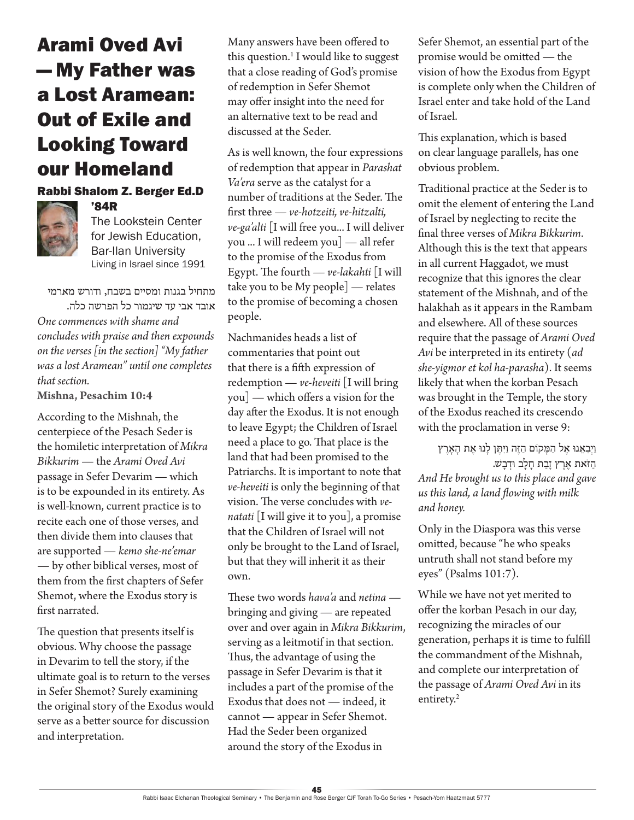### Arami Oved Avi — My Father was a Lost Aramean: Out of Exile and Looking Toward our Homeland

#### Rabbi Shalom Z. Berger Ed.D '84R



The Lookstein Center for Jewish Education, Bar-Ilan University Living in Israel since 1991

מתחיל בגנות ומסיים בשבח, ודורש מארמי אובד אבי עד שיגמור כל הפרשה כלה. *One commences with shame and concludes with praise and then expounds on the verses [in the section] "My father was a lost Aramean" until one completes that section.*

**Mishna, Pesachim 10:4**

According to the Mishnah, the centerpiece of the Pesach Seder is the homiletic interpretation of *Mikra Bikkurim* — the *Arami Oved Avi* passage in Sefer Devarim — which is to be expounded in its entirety. As is well-known, current practice is to recite each one of those verses, and then divide them into clauses that are supported — *kemo she-ne'emar* — by other biblical verses, most of them from the first chapters of Sefer Shemot, where the Exodus story is first narrated.

The question that presents itself is obvious. Why choose the passage in Devarim to tell the story, if the ultimate goal is to return to the verses in Sefer Shemot? Surely examining the original story of the Exodus would serve as a better source for discussion and interpretation.

Many answers have been offered to this question.<sup>1</sup> I would like to suggest that a close reading of God's promise of redemption in Sefer Shemot may offer insight into the need for an alternative text to be read and discussed at the Seder.

As is well known, the four expressions of redemption that appear in *Parashat Va'era* serve as the catalyst for a number of traditions at the Seder. The first three — *ve-hotzeiti, ve-hitzalti, ve-ga'alti* [I will free you... I will deliver you ... I will redeem you] — all refer to the promise of the Exodus from Egypt. The fourth — *ve-lakahti* [I will take you to be My people] — relates to the promise of becoming a chosen people.

Nachmanides heads a list of commentaries that point out that there is a fifth expression of redemption — *ve-heveiti* [I will bring you] — which offers a vision for the day after the Exodus. It is not enough to leave Egypt; the Children of Israel need a place to go. That place is the land that had been promised to the Patriarchs. It is important to note that *ve-heveiti* is only the beginning of that vision. The verse concludes with *venatati* [I will give it to you], a promise that the Children of Israel will not only be brought to the Land of Israel, but that they will inherit it as their own.

These two words *hava'a* and *netina*  bringing and giving — are repeated over and over again in *Mikra Bikkurim*, serving as a leitmotif in that section. Thus, the advantage of using the passage in Sefer Devarim is that it includes a part of the promise of the Exodus that does not — indeed, it cannot — appear in Sefer Shemot. Had the Seder been organized around the story of the Exodus in

Sefer Shemot, an essential part of the promise would be omitted — the vision of how the Exodus from Egypt is complete only when the Children of Israel enter and take hold of the Land of Israel.

This explanation, which is based on clear language parallels, has one obvious problem.

Traditional practice at the Seder is to omit the element of entering the Land of Israel by neglecting to recite the final three verses of *Mikra Bikkurim*. Although this is the text that appears in all current Haggadot, we must recognize that this ignores the clear statement of the Mishnah, and of the halakhah as it appears in the Rambam and elsewhere. All of these sources require that the passage of *Arami Oved Avi* be interpreted in its entirety (*ad she-yigmor et kol ha-parasha*). It seems likely that when the korban Pesach was brought in the Temple, the story of the Exodus reached its crescendo with the proclamation in verse 9:

וַיִּבְאֵנוּ אֶל הַמָּקוֹם הַזֶּה וַיִּתֶּן לָנוּ אֶת הָאָרֶץ הַ זֹאת הַ זָבַת חַלַב וּדְבָשׁ. *And He brought us to this place and gave us this land, a land flowing with milk and honey.* 

Only in the Diaspora was this verse omitted, because "he who speaks untruth shall not stand before my eyes" (Psalms 101:7).

While we have not yet merited to offer the korban Pesach in our day, recognizing the miracles of our generation, perhaps it is time to fulfill the commandment of the Mishnah, and complete our interpretation of the passage of *Arami Oved Avi* in its entirety.<sup>2</sup>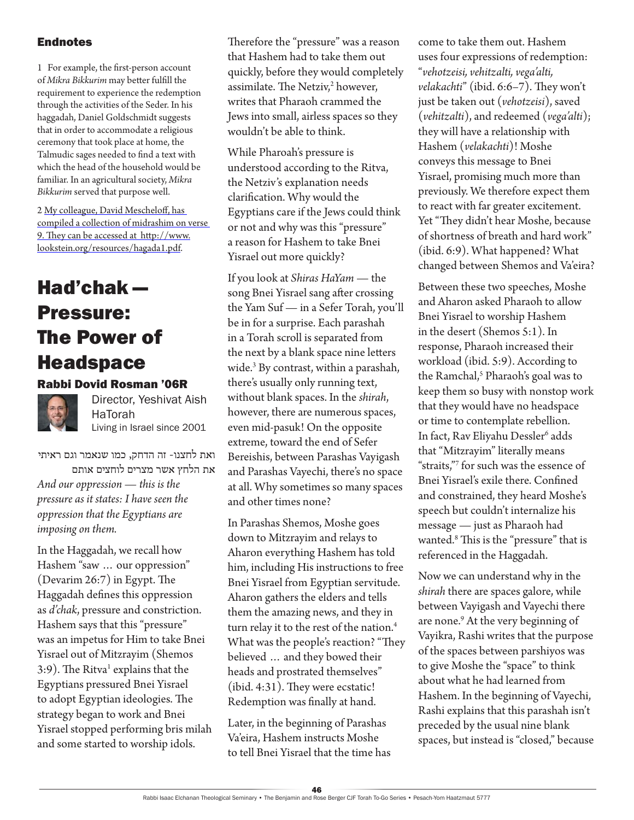#### **Endnotes**

1 For example, the first-person account of *Mikra Bikkurim* may better fulfill the requirement to experience the redemption through the activities of the Seder. In his haggadah, Daniel Goldschmidt suggests that in order to accommodate a religious ceremony that took place at home, the Talmudic sages needed to find a text with which the head of the household would be familiar. In an agricultural society, *Mikra Bikkurim* served that purpose well.

2 My colleague, David Mescheloff, has compiled a collection of midrashim on verse 9. They can be accessed at http://www. lookstein.org/resources/hagada1.pdf.

### Had'chak — Pressure: The Power of Headspace

#### Rabbi Dovid Rosman '06R



Director, Yeshivat Aish HaTorah Living in Israel since 2001

ואת לחצנו- זה הדחק, כמו שנאמר וגם ראיתי את הלחץ אשר מצרים לוחצים אותם *And our oppression — this is the pressure as it states: I have seen the oppression that the Egyptians are imposing on them.* 

In the Haggadah, we recall how Hashem "saw … our oppression" (Devarim 26:7) in Egypt. The Haggadah defines this oppression as *d'chak*, pressure and constriction. Hashem says that this "pressure" was an impetus for Him to take Bnei Yisrael out of Mitzrayim (Shemos 3:9). The Ritva<sup>1</sup> explains that the Egyptians pressured Bnei Yisrael to adopt Egyptian ideologies. The strategy began to work and Bnei Yisrael stopped performing bris milah and some started to worship idols.

Therefore the "pressure" was a reason that Hashem had to take them out quickly, before they would completely assimilate. The Netziv, $^2$  however, writes that Pharaoh crammed the Jews into small, airless spaces so they wouldn't be able to think.

While Pharoah's pressure is understood according to the Ritva, the Netziv's explanation needs clarification. Why would the Egyptians care if the Jews could think or not and why was this "pressure" a reason for Hashem to take Bnei Yisrael out more quickly?

If you look at *Shiras HaYam* — the song Bnei Yisrael sang after crossing the Yam Suf — in a Sefer Torah, you'll be in for a surprise. Each parashah in a Torah scroll is separated from the next by a blank space nine letters wide.3 By contrast, within a parashah, there's usually only running text, without blank spaces. In the *shirah*, however, there are numerous spaces, even mid-pasuk! On the opposite extreme, toward the end of Sefer Bereishis, between Parashas Vayigash and Parashas Vayechi, there's no space at all. Why sometimes so many spaces and other times none?

In Parashas Shemos, Moshe goes down to Mitzrayim and relays to Aharon everything Hashem has told him, including His instructions to free Bnei Yisrael from Egyptian servitude. Aharon gathers the elders and tells them the amazing news, and they in turn relay it to the rest of the nation.<sup>4</sup> What was the people's reaction? "They believed … and they bowed their heads and prostrated themselves" (ibid. 4:31). They were ecstatic! Redemption was finally at hand.

Later, in the beginning of Parashas Va'eira, Hashem instructs Moshe to tell Bnei Yisrael that the time has come to take them out. Hashem uses four expressions of redemption: "*vehotzeisi, vehitzalti, vega'alti, velakachti*" (ibid. 6:6–7). They won't just be taken out (*vehotzeisi*), saved (*vehitzalti*), and redeemed (*vega'alti*); they will have a relationship with Hashem (*velakachti*)! Moshe conveys this message to Bnei Yisrael, promising much more than previously. We therefore expect them to react with far greater excitement. Yet "They didn't hear Moshe, because of shortness of breath and hard work" (ibid. 6:9). What happened? What changed between Shemos and Va'eira?

Between these two speeches, Moshe and Aharon asked Pharaoh to allow Bnei Yisrael to worship Hashem in the desert (Shemos 5:1). In response, Pharaoh increased their workload (ibid. 5:9). According to the Ramchal,<sup>5</sup> Pharaoh's goal was to keep them so busy with nonstop work that they would have no headspace or time to contemplate rebellion. In fact, Rav Eliyahu Dessler<sup>6</sup> adds that "Mitzrayim" literally means "straits,"<sup>7</sup> for such was the essence of Bnei Yisrael's exile there. Confined and constrained, they heard Moshe's speech but couldn't internalize his message — just as Pharaoh had wanted.8 This is the "pressure" that is referenced in the Haggadah.

Now we can understand why in the *shirah* there are spaces galore, while between Vayigash and Vayechi there are none.<sup>9</sup> At the very beginning of Vayikra, Rashi writes that the purpose of the spaces between parshiyos was to give Moshe the "space" to think about what he had learned from Hashem. In the beginning of Vayechi, Rashi explains that this parashah isn't preceded by the usual nine blank spaces, but instead is "closed," because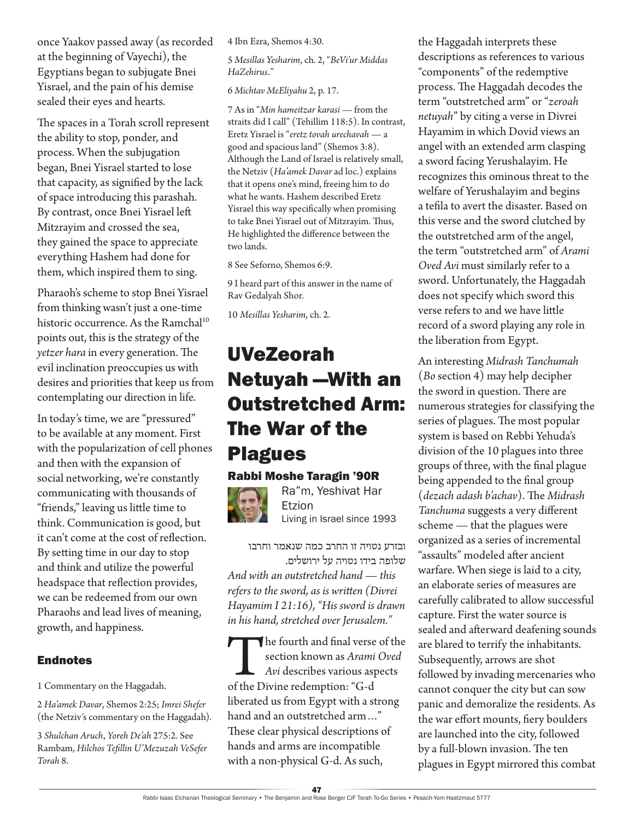once Yaakov passed away (as recorded at the beginning of Vayechi), the Egyptians began to subjugate Bnei Yisrael, and the pain of his demise sealed their eyes and hearts.

The spaces in a Torah scroll represent the ability to stop, ponder, and process. When the subjugation began, Bnei Yisrael started to lose that capacity, as signified by the lack of space introducing this parashah. By contrast, once Bnei Yisrael left Mitzrayim and crossed the sea, they gained the space to appreciate everything Hashem had done for them, which inspired them to sing.

Pharaoh's scheme to stop Bnei Yisrael from thinking wasn't just a one-time historic occurrence. As the Ramchal<sup>10</sup> points out, this is the strategy of the *yetzer hara* in every generation. The evil inclination preoccupies us with desires and priorities that keep us from contemplating our direction in life.

In today's time, we are "pressured" to be available at any moment. First with the popularization of cell phones and then with the expansion of social networking, we're constantly communicating with thousands of "friends," leaving us little time to think. Communication is good, but it can't come at the cost of reflection. By setting time in our day to stop and think and utilize the powerful headspace that reflection provides, we can be redeemed from our own Pharaohs and lead lives of meaning, growth, and happiness.

#### Endnotes

1 Commentary on the Haggadah.

2 *Ha'amek Davar*, Shemos 2:25; *Imrei Shefer* (the Netziv's commentary on the Haggadah).

3 *Shulchan Aruch*, *Yoreh De'ah* 275:2. See Rambam, *Hilchos Tefillin U'Mezuzah VeSefer Torah* 8.

4 Ibn Ezra, Shemos 4:30.

5 *Mesillas Yesharim*, ch. 2, "*BeVi'ur Middas HaZehirus*."

#### 6 *Michtav MeEliyahu* 2, p. 17.

7 As in "*Min hameitzar karasi* — from the straits did I call" (Tehillim 118:5). In contrast, Eretz Yisrael is "*eretz tovah urechavah* — a good and spacious land" (Shemos 3:8). Although the Land of Israel is relatively small, the Netziv (*Ha'amek Davar* ad loc.) explains that it opens one's mind, freeing him to do what he wants. Hashem described Eretz Yisrael this way specifically when promising to take Bnei Yisrael out of Mitzrayim. Thus, He highlighted the difference between the two lands.

8 See Seforno, Shemos 6:9.

9 I heard part of this answer in the name of Rav Gedalyah Shor.

10 *Mesillas Yesharim*, ch. 2.

### UVeZeorah Netuyah —With an Outstretched Arm: The War of the Plagues

### Rabbi Moshe Taragin '90R



Ra"m, Yeshivat Har Etzion Living in Israel since 1993

ובזרע נטויה זו החרב כמה שנאמר וחרבו שלופה בידו נטויה על ירושלים. *And with an outstretched hand — this* 

*refers to the sword, as is written (Divrei Hayamim I 21:16), "His sword is drawn in his hand, stretched over Jerusalem."*

The fourth and final verse of the<br>section known as *Arami Oved*<br>Avi describes various aspects<br>of the Divine redemption: "G-d section known as *Arami Oved Avi* describes various aspects of the Divine redemption: "G-d liberated us from Egypt with a strong hand and an outstretched arm…" These clear physical descriptions of hands and arms are incompatible with a non-physical G-d. As such,

the Haggadah interprets these descriptions as references to various "components" of the redemptive process. The Haggadah decodes the term "outstretched arm" or "*zeroah netuyah*" by citing a verse in Divrei Hayamim in which Dovid views an angel with an extended arm clasping a sword facing Yerushalayim. He recognizes this ominous threat to the welfare of Yerushalayim and begins a tefila to avert the disaster. Based on this verse and the sword clutched by the outstretched arm of the angel, the term "outstretched arm" of *Arami Oved Avi* must similarly refer to a sword. Unfortunately, the Haggadah does not specify which sword this verse refers to and we have little record of a sword playing any role in the liberation from Egypt.

An interesting *Midrash Tanchumah* (*Bo* section 4) may help decipher the sword in question. There are numerous strategies for classifying the series of plagues. The most popular system is based on Rebbi Yehuda's division of the 10 plagues into three groups of three, with the final plague being appended to the final group (*dezach adash b'achav*). The *Midrash Tanchuma* suggests a very different scheme — that the plagues were organized as a series of incremental "assaults" modeled after ancient warfare. When siege is laid to a city, an elaborate series of measures are carefully calibrated to allow successful capture. First the water source is sealed and afterward deafening sounds are blared to terrify the inhabitants. Subsequently, arrows are shot followed by invading mercenaries who cannot conquer the city but can sow panic and demoralize the residents. As the war effort mounts, fiery boulders are launched into the city, followed by a full-blown invasion. The ten plagues in Egypt mirrored this combat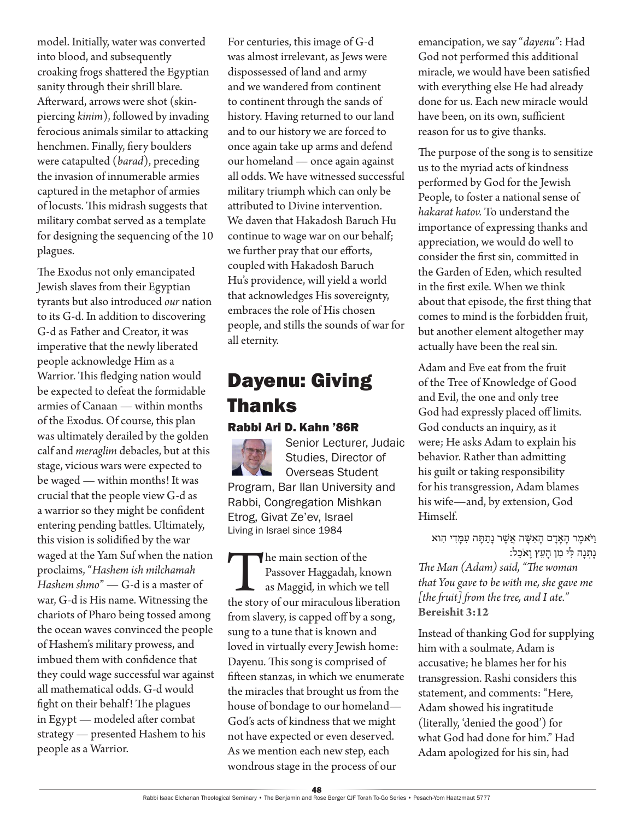model. Initially, water was converted into blood, and subsequently croaking frogs shattered the Egyptian sanity through their shrill blare. Afterward, arrows were shot (skinpiercing *kinim*), followed by invading ferocious animals similar to attacking henchmen. Finally, fiery boulders were catapulted (*barad*), preceding the invasion of innumerable armies captured in the metaphor of armies of locusts. This midrash suggests that military combat served as a template for designing the sequencing of the 10 plagues.

The Exodus not only emancipated Jewish slaves from their Egyptian tyrants but also introduced *our* nation to its G-d. In addition to discovering G-d as Father and Creator, it was imperative that the newly liberated people acknowledge Him as a Warrior. This fledging nation would be expected to defeat the formidable armies of Canaan — within months of the Exodus. Of course, this plan was ultimately derailed by the golden calf and *meraglim* debacles, but at this stage, vicious wars were expected to be waged — within months! It was crucial that the people view G-d as a warrior so they might be confident entering pending battles. Ultimately, this vision is solidified by the war waged at the Yam Suf when the nation proclaims, "*Hashem ish milchamah Hashem shmo*" — G-d is a master of war, G-d is His name. Witnessing the chariots of Pharo being tossed among the ocean waves convinced the people of Hashem's military prowess, and imbued them with confidence that they could wage successful war against all mathematical odds. G-d would fight on their behalf! The plagues in Egypt — modeled after combat strategy — presented Hashem to his people as a Warrior.

For centuries, this image of G-d was almost irrelevant, as Jews were dispossessed of land and army and we wandered from continent to continent through the sands of history. Having returned to our land and to our history we are forced to once again take up arms and defend our homeland — once again against all odds. We have witnessed successful military triumph which can only be attributed to Divine intervention. We daven that Hakadosh Baruch Hu continue to wage war on our behalf; we further pray that our efforts, coupled with Hakadosh Baruch Hu's providence, will yield a world that acknowledges His sovereignty, embraces the role of His chosen people, and stills the sounds of war for all eternity.

### Dayenu: Giving Thanks

### Rabbi Ari D. Kahn '86R



The main section of the<br>
Passover Haggadah, known<br>
as Maggid, in which we tell<br>
the story of our miraculous liberation Passover Haggadah, known as Maggid*,* in which we tell from slavery, is capped off by a song, sung to a tune that is known and loved in virtually every Jewish home: Dayenu*.* This song is comprised of fifteen stanzas, in which we enumerate the miracles that brought us from the house of bondage to our homeland— God's acts of kindness that we might not have expected or even deserved. As we mention each new step, each wondrous stage in the process of our

emancipation, we say "*dayenu"*: Had God not performed this additional miracle, we would have been satisfied with everything else He had already done for us. Each new miracle would have been, on its own, sufficient reason for us to give thanks.

The purpose of the song is to sensitize us to the myriad acts of kindness performed by God for the Jewish People, to foster a national sense of *hakarat hatov.* To understand the importance of expressing thanks and appreciation, we would do well to consider the first sin, committed in the Garden of Eden, which resulted in the first exile. When we think about that episode, the first thing that comes to mind is the forbidden fruit, but another element altogether may actually have been the real sin.

Adam and Eve eat from the fruit of the Tree of Knowledge of Good and Evil, the one and only tree God had expressly placed off limits. God conducts an inquiry, as it were; He asks Adam to explain his behavior. Rather than admitting his guilt or taking responsibility for his transgression, Adam blames his wife—and, by extension, God Himself.

וַ יֹּאמֶר הַאַדַם הַאִשָּׁה אֲשֵׁר נַתַתַּה עִמַּדִי הִוא נָתְ נָה ּלִ י מִ ן הָ עֵ ץ וָ אֹכֵ ל:

*The Man (Adam) said, "The woman that You gave to be with me, she gave me [the fruit] from the tree, and I ate."* **Bereishit 3:12**

Instead of thanking God for supplying him with a soulmate, Adam is accusative; he blames her for his transgression. Rashi considers this statement, and comments: "Here, Adam showed his ingratitude (literally, 'denied the good') for what God had done for him." Had Adam apologized for his sin, had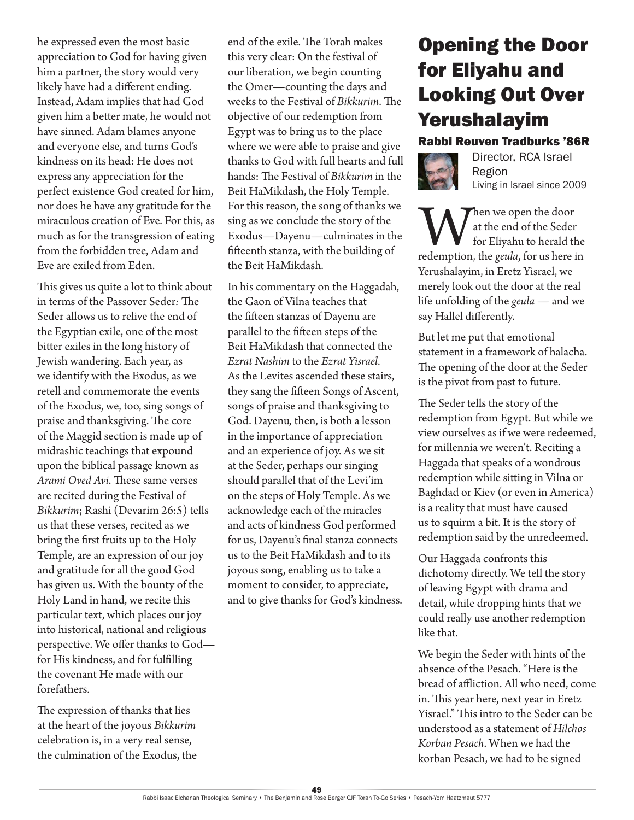he expressed even the most basic appreciation to God for having given him a partner, the story would very likely have had a different ending. Instead, Adam implies that had God given him a better mate, he would not have sinned. Adam blames anyone and everyone else, and turns God's kindness on its head: He does not express any appreciation for the perfect existence God created for him, nor does he have any gratitude for the miraculous creation of Eve. For this, as much as for the transgression of eating from the forbidden tree, Adam and Eve are exiled from Eden.

This gives us quite a lot to think about in terms of the Passover Seder*:* The Seder allows us to relive the end of the Egyptian exile, one of the most bitter exiles in the long history of Jewish wandering. Each year, as we identify with the Exodus, as we retell and commemorate the events of the Exodus, we, too, sing songs of praise and thanksgiving. The core of the Maggid section is made up of midrashic teachings that expound upon the biblical passage known as *Arami Oved Avi*. These same verses are recited during the Festival of *Bikkurim*; Rashi (Devarim 26:5) tells us that these verses, recited as we bring the first fruits up to the Holy Temple, are an expression of our joy and gratitude for all the good God has given us. With the bounty of the Holy Land in hand, we recite this particular text, which places our joy into historical, national and religious perspective. We offer thanks to God for His kindness, and for fulfilling the covenant He made with our forefathers.

The expression of thanks that lies at the heart of the joyous *Bikkurim* celebration is, in a very real sense, the culmination of the Exodus, the end of the exile. The Torah makes this very clear: On the festival of our liberation, we begin counting the Omer—counting the days and weeks to the Festival of *Bikkurim*. The objective of our redemption from Egypt was to bring us to the place where we were able to praise and give thanks to God with full hearts and full hands: The Festival of *Bikkurim* in the Beit HaMikdash, the Holy Temple. For this reason, the song of thanks we sing as we conclude the story of the Exodus—Dayenu—culminates in the fifteenth stanza, with the building of the Beit HaMikdash.

In his commentary on the Haggadah, the Gaon of Vilna teaches that the fifteen stanzas of Dayenu are parallel to the fifteen steps of the Beit HaMikdash that connected the *Ezrat Nashim* to the *Ezrat Yisrael*. As the Levites ascended these stairs, they sang the fifteen Songs of Ascent, songs of praise and thanksgiving to God. Dayenu*,* then, is both a lesson in the importance of appreciation and an experience of joy. As we sit at the Seder, perhaps our singing should parallel that of the Levi'im on the steps of Holy Temple. As we acknowledge each of the miracles and acts of kindness God performed for us, Dayenu's final stanza connects us to the Beit HaMikdash and to its joyous song, enabling us to take a moment to consider, to appreciate, and to give thanks for God's kindness.

### Opening the Door for Eliyahu and Looking Out Over Yerushalayim

#### Rabbi Reuven Tradburks '86R



Director, RCA Israel Region Living in Israel since 2009

**W** at the end of the Seder<br>for Eliyahu to herald the<br>redemption, the *geula*, for us here in at the end of the Seder for Eliyahu to herald the Yerushalayim, in Eretz Yisrael, we merely look out the door at the real life unfolding of the *geula* — and we say Hallel differently.

But let me put that emotional statement in a framework of halacha. The opening of the door at the Seder is the pivot from past to future.

The Seder tells the story of the redemption from Egypt. But while we view ourselves as if we were redeemed, for millennia we weren't. Reciting a Haggada that speaks of a wondrous redemption while sitting in Vilna or Baghdad or Kiev (or even in America) is a reality that must have caused us to squirm a bit. It is the story of redemption said by the unredeemed.

Our Haggada confronts this dichotomy directly. We tell the story of leaving Egypt with drama and detail, while dropping hints that we could really use another redemption like that.

We begin the Seder with hints of the absence of the Pesach. "Here is the bread of affliction. All who need, come in. This year here, next year in Eretz Yisrael." This intro to the Seder can be understood as a statement of *Hilchos Korban Pesach*. When we had the korban Pesach, we had to be signed